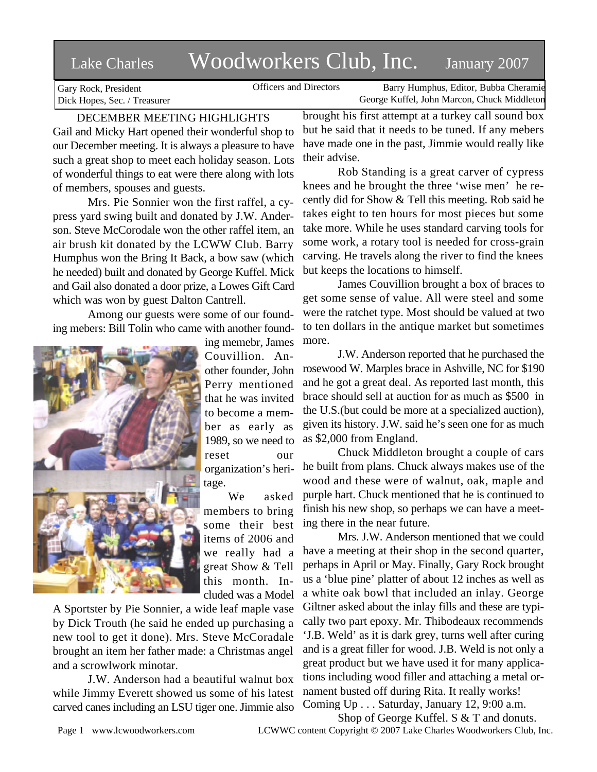# Lake Charles Woodworkers Club, Inc. January 2007

Gary Rock, President Dick Hopes, Sec. / Treasurer

Officers and Directors Barry Humphus, Editor, Bubba Cheramie George Kuffel, John Marcon, Chuck Middleton

## DECEMBER MEETING HIGHLIGHTS Gail and Micky Hart opened their wonderful shop to our December meeting. It is always a pleasure to have such a great shop to meet each holiday season. Lots of wonderful things to eat were there along with lots of members, spouses and guests.

Mrs. Pie Sonnier won the first raffel, a cypress yard swing built and donated by J.W. Anderson. Steve McCorodale won the other raffel item, an air brush kit donated by the LCWW Club. Barry Humphus won the Bring It Back, a bow saw (which he needed) built and donated by George Kuffel. Mick and Gail also donated a door prize, a Lowes Gift Card which was won by guest Dalton Cantrell.

Among our guests were some of our founding mebers: Bill Tolin who came with another found-



ing memebr, James Couvillion. Another founder, John Perry mentioned that he was invited to become a member as early as 1989, so we need to reset our organization's heritage.

We asked members to bring some their best items of 2006 and we really had a great Show & Tell this month. Included was a Model

A Sportster by Pie Sonnier, a wide leaf maple vase by Dick Trouth (he said he ended up purchasing a new tool to get it done). Mrs. Steve McCoradale brought an item her father made: a Christmas angel and a scrowlwork minotar.

J.W. Anderson had a beautiful walnut box while Jimmy Everett showed us some of his latest carved canes including an LSU tiger one. Jimmie also

brought his first attempt at a turkey call sound box but he said that it needs to be tuned. If any mebers have made one in the past, Jimmie would really like their advise.

Rob Standing is a great carver of cypress knees and he brought the three 'wise men' he recently did for Show & Tell this meeting. Rob said he takes eight to ten hours for most pieces but some take more. While he uses standard carving tools for some work, a rotary tool is needed for cross-grain carving. He travels along the river to find the knees but keeps the locations to himself.

James Couvillion brought a box of braces to get some sense of value. All were steel and some were the ratchet type. Most should be valued at two to ten dollars in the antique market but sometimes more.

J.W. Anderson reported that he purchased the rosewood W. Marples brace in Ashville, NC for \$190 and he got a great deal. As reported last month, this brace should sell at auction for as much as \$500 in the U.S.(but could be more at a specialized auction), given its history. J.W. said he's seen one for as much as \$2,000 from England.

Chuck Middleton brought a couple of cars he built from plans. Chuck always makes use of the wood and these were of walnut, oak, maple and purple hart. Chuck mentioned that he is continued to finish his new shop, so perhaps we can have a meeting there in the near future.

Mrs. J.W. Anderson mentioned that we could have a meeting at their shop in the second quarter, perhaps in April or May. Finally, Gary Rock brought us a 'blue pine' platter of about 12 inches as well as a white oak bowl that included an inlay. George Giltner asked about the inlay fills and these are typically two part epoxy. Mr. Thibodeaux recommends 'J.B. Weld' as it is dark grey, turns well after curing and is a great filler for wood. J.B. Weld is not only a great product but we have used it for many applications including wood filler and attaching a metal ornament busted off during Rita. It really works! Coming Up . . . Saturday, January 12, 9:00 a.m.

Page 1 www.lcwoodworkers.com LCWWC content Copyright © 2007 Lake Charles Woodworkers Club, Inc. Shop of George Kuffel. S & T and donuts.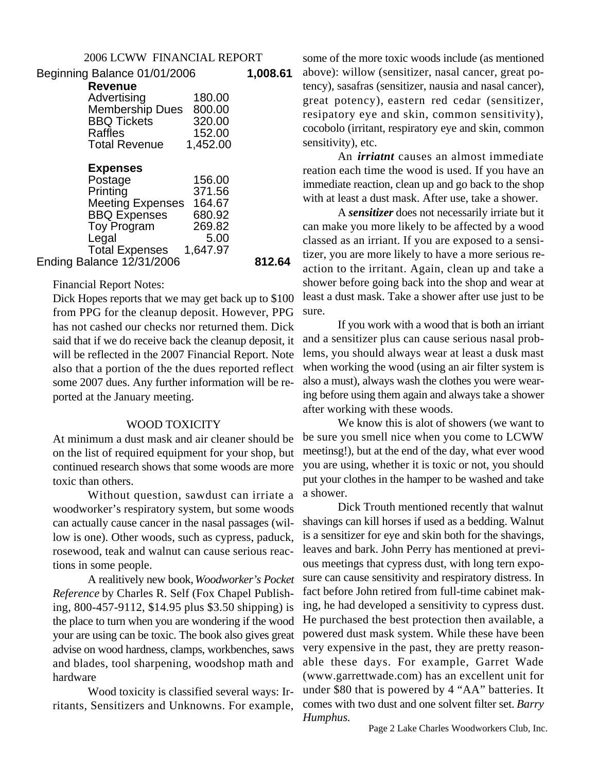| Beginning Balance 01/01/2006 |                         |          | 1,008.61 |
|------------------------------|-------------------------|----------|----------|
|                              | <b>Revenue</b>          |          |          |
|                              | Advertising             | 180.00   |          |
|                              | <b>Membership Dues</b>  | 800.00   |          |
|                              | <b>BBQ Tickets</b>      | 320.00   |          |
|                              | <b>Raffles</b>          | 152.00   |          |
|                              | <b>Total Revenue</b>    | 1,452.00 |          |
|                              | <b>Expenses</b>         |          |          |
|                              | Postage                 | 156.00   |          |
|                              | Printing                | 371.56   |          |
|                              | <b>Meeting Expenses</b> | 164.67   |          |
|                              | <b>BBQ Expenses</b>     | 680.92   |          |
|                              | <b>Toy Program</b>      | 269.82   |          |
|                              | Legal                   | 5.00     |          |
|                              | <b>Total Expenses</b>   | 1,647.97 |          |
| Ending Balance 12/31/2006    |                         |          | 812.64   |
|                              |                         |          |          |

## Financial Report Notes:

Dick Hopes reports that we may get back up to \$100 from PPG for the cleanup deposit. However, PPG has not cashed our checks nor returned them. Dick said that if we do receive back the cleanup deposit, it will be reflected in the 2007 Financial Report. Note also that a portion of the the dues reported reflect some 2007 dues. Any further information will be reported at the January meeting.

## WOOD TOXICITY

At minimum a dust mask and air cleaner should be on the list of required equipment for your shop, but continued research shows that some woods are more toxic than others.

Without question, sawdust can irriate a woodworker's respiratory system, but some woods can actually cause cancer in the nasal passages (willow is one). Other woods, such as cypress, paduck, rosewood, teak and walnut can cause serious reactions in some people.

A realitively new book, *Woodworker's Pocket Reference* by Charles R. Self (Fox Chapel Publishing, 800-457-9112, \$14.95 plus \$3.50 shipping) is the place to turn when you are wondering if the wood your are using can be toxic. The book also gives great advise on wood hardness, clamps, workbenches, saws and blades, tool sharpening, woodshop math and hardware

Wood toxicity is classified several ways: Irritants, Sensitizers and Unknowns. For example, some of the more toxic woods include (as mentioned above): willow (sensitizer, nasal cancer, great potency), sasafras (sensitizer, nausia and nasal cancer), great potency), eastern red cedar (sensitizer, resipatory eye and skin, common sensitivity), cocobolo (irritant, respiratory eye and skin, common sensitivity), etc.

An *irriatnt* causes an almost immediate reation each time the wood is used. If you have an immediate reaction, clean up and go back to the shop with at least a dust mask. After use, take a shower.

A *sensitizer* does not necessarily irriate but it can make you more likely to be affected by a wood classed as an irriant. If you are exposed to a sensitizer, you are more likely to have a more serious reaction to the irritant. Again, clean up and take a shower before going back into the shop and wear at least a dust mask. Take a shower after use just to be sure.

If you work with a wood that is both an irriant and a sensitizer plus can cause serious nasal problems, you should always wear at least a dusk mast when working the wood (using an air filter system is also a must), always wash the clothes you were wearing before using them again and always take a shower after working with these woods.

We know this is alot of showers (we want to be sure you smell nice when you come to LCWW meetinsg!), but at the end of the day, what ever wood you are using, whether it is toxic or not, you should put your clothes in the hamper to be washed and take a shower.

Dick Trouth mentioned recently that walnut shavings can kill horses if used as a bedding. Walnut is a sensitizer for eye and skin both for the shavings, leaves and bark. John Perry has mentioned at previous meetings that cypress dust, with long tern exposure can cause sensitivity and respiratory distress. In fact before John retired from full-time cabinet making, he had developed a sensitivity to cypress dust. He purchased the best protection then available, a powered dust mask system. While these have been very expensive in the past, they are pretty reasonable these days. For example, Garret Wade (www.garrettwade.com) has an excellent unit for under \$80 that is powered by 4 "AA" batteries. It comes with two dust and one solvent filter set. *Barry Humphus.*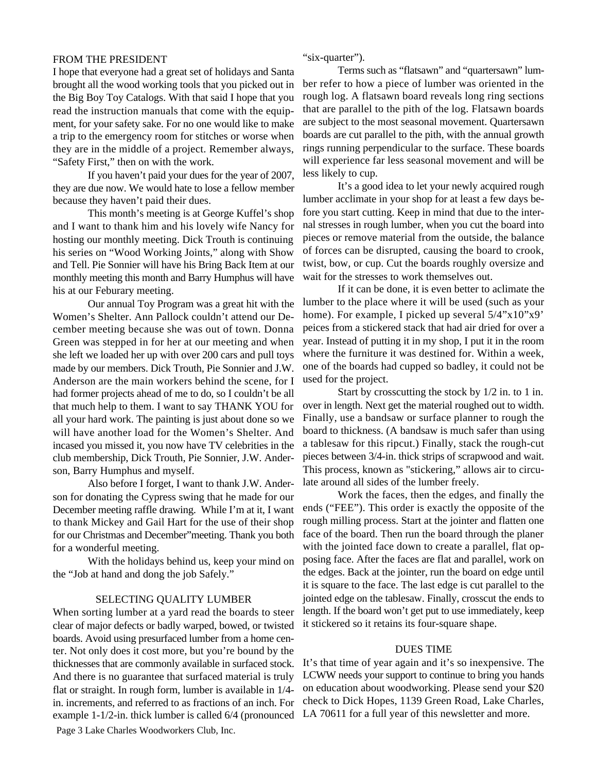#### FROM THE PRESIDENT

I hope that everyone had a great set of holidays and Santa brought all the wood working tools that you picked out in the Big Boy Toy Catalogs. With that said I hope that you read the instruction manuals that come with the equipment, for your safety sake. For no one would like to make a trip to the emergency room for stitches or worse when they are in the middle of a project. Remember always, "Safety First," then on with the work.

If you haven't paid your dues for the year of 2007, they are due now. We would hate to lose a fellow member because they haven't paid their dues.

This month's meeting is at George Kuffel's shop and I want to thank him and his lovely wife Nancy for hosting our monthly meeting. Dick Trouth is continuing his series on "Wood Working Joints," along with Show and Tell. Pie Sonnier will have his Bring Back Item at our monthly meeting this month and Barry Humphus will have his at our Feburary meeting.

Our annual Toy Program was a great hit with the Women's Shelter. Ann Pallock couldn't attend our December meeting because she was out of town. Donna Green was stepped in for her at our meeting and when she left we loaded her up with over 200 cars and pull toys made by our members. Dick Trouth, Pie Sonnier and J.W. Anderson are the main workers behind the scene, for I had former projects ahead of me to do, so I couldn't be all that much help to them. I want to say THANK YOU for all your hard work. The painting is just about done so we will have another load for the Women's Shelter. And incased you missed it, you now have TV celebrities in the club membership, Dick Trouth, Pie Sonnier, J.W. Anderson, Barry Humphus and myself.

Also before I forget, I want to thank J.W. Anderson for donating the Cypress swing that he made for our December meeting raffle drawing. While I'm at it, I want to thank Mickey and Gail Hart for the use of their shop for our Christmas and December"meeting. Thank you both for a wonderful meeting.

With the holidays behind us, keep your mind on the "Job at hand and dong the job Safely."

#### SELECTING QUALITY LUMBER

When sorting lumber at a yard read the boards to steer clear of major defects or badly warped, bowed, or twisted boards. Avoid using presurfaced lumber from a home center. Not only does it cost more, but you're bound by the thicknesses that are commonly available in surfaced stock. And there is no guarantee that surfaced material is truly flat or straight. In rough form, lumber is available in 1/4 in. increments, and referred to as fractions of an inch. For example 1-1/2-in. thick lumber is called 6/4 (pronounced

Page 3 Lake Charles Woodworkers Club, Inc.

"six-quarter").

Terms such as "flatsawn" and "quartersawn" lumber refer to how a piece of lumber was oriented in the rough log. A flatsawn board reveals long ring sections that are parallel to the pith of the log. Flatsawn boards are subject to the most seasonal movement. Quartersawn boards are cut parallel to the pith, with the annual growth rings running perpendicular to the surface. These boards will experience far less seasonal movement and will be less likely to cup.

It's a good idea to let your newly acquired rough lumber acclimate in your shop for at least a few days before you start cutting. Keep in mind that due to the internal stresses in rough lumber, when you cut the board into pieces or remove material from the outside, the balance of forces can be disrupted, causing the board to crook, twist, bow, or cup. Cut the boards roughly oversize and wait for the stresses to work themselves out.

If it can be done, it is even better to aclimate the lumber to the place where it will be used (such as your home). For example, I picked up several  $5/4$ "x10"x9" peices from a stickered stack that had air dried for over a year. Instead of putting it in my shop, I put it in the room where the furniture it was destined for. Within a week, one of the boards had cupped so badley, it could not be used for the project.

Start by crosscutting the stock by 1/2 in. to 1 in. over in length. Next get the material roughed out to width. Finally, use a bandsaw or surface planner to rough the board to thickness. (A bandsaw is much safer than using a tablesaw for this ripcut.) Finally, stack the rough-cut pieces between 3/4-in. thick strips of scrapwood and wait. This process, known as "stickering," allows air to circulate around all sides of the lumber freely.

Work the faces, then the edges, and finally the ends ("FEE"). This order is exactly the opposite of the rough milling process. Start at the jointer and flatten one face of the board. Then run the board through the planer with the jointed face down to create a parallel, flat opposing face. After the faces are flat and parallel, work on the edges. Back at the jointer, run the board on edge until it is square to the face. The last edge is cut parallel to the jointed edge on the tablesaw. Finally, crosscut the ends to length. If the board won't get put to use immediately, keep it stickered so it retains its four-square shape.

#### DUES TIME

It's that time of year again and it's so inexpensive. The LCWW needs your support to continue to bring you hands on education about woodworking. Please send your \$20 check to Dick Hopes, 1139 Green Road, Lake Charles, LA 70611 for a full year of this newsletter and more.